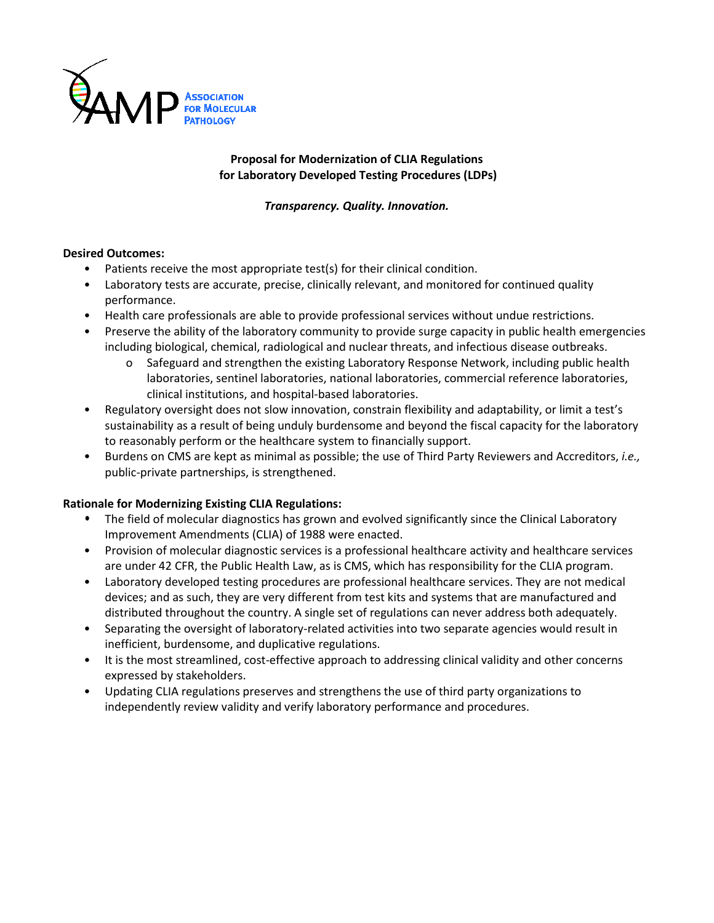

# **Proposal for Modernization of CLIA Regulations for Laboratory Developed Testing Procedures (LDPs)**

*Transparency. Quality. Innovation.*

# **Desired Outcomes:**

- Patients receive the most appropriate test(s) for their clinical condition.
- Laboratory tests are accurate, precise, clinically relevant, and monitored for continued quality performance.
- Health care professionals are able to provide professional services without undue restrictions.
- Preserve the ability of the laboratory community to provide surge capacity in public health emergencies including biological, chemical, radiological and nuclear threats, and infectious disease outbreaks.
	- o Safeguard and strengthen the existing Laboratory Response Network, including public health laboratories, sentinel laboratories, national laboratories, commercial reference laboratories, clinical institutions, and hospital-based laboratories.
- Regulatory oversight does not slow innovation, constrain flexibility and adaptability, or limit a test's sustainability as a result of being unduly burdensome and beyond the fiscal capacity for the laboratory to reasonably perform or the healthcare system to financially support.
- Burdens on CMS are kept as minimal as possible; the use of Third Party Reviewers and Accreditors, *i.e.,* public-private partnerships, is strengthened.

# **Rationale for Modernizing Existing CLIA Regulations:**

- **•** The field of molecular diagnostics has grown and evolved significantly since the Clinical Laboratory Improvement Amendments (CLIA) of 1988 were enacted.
- Provision of molecular diagnostic services is a professional healthcare activity and healthcare services are under 42 CFR, the Public Health Law, as is CMS, which has responsibility for the CLIA program.
- Laboratory developed testing procedures are professional healthcare services. They are not medical devices; and as such, they are very different from test kits and systems that are manufactured and distributed throughout the country. A single set of regulations can never address both adequately.
- Separating the oversight of laboratory-related activities into two separate agencies would result in inefficient, burdensome, and duplicative regulations.
- It is the most streamlined, cost-effective approach to addressing clinical validity and other concerns expressed by stakeholders.
- Updating CLIA regulations preserves and strengthens the use of third party organizations to independently review validity and verify laboratory performance and procedures.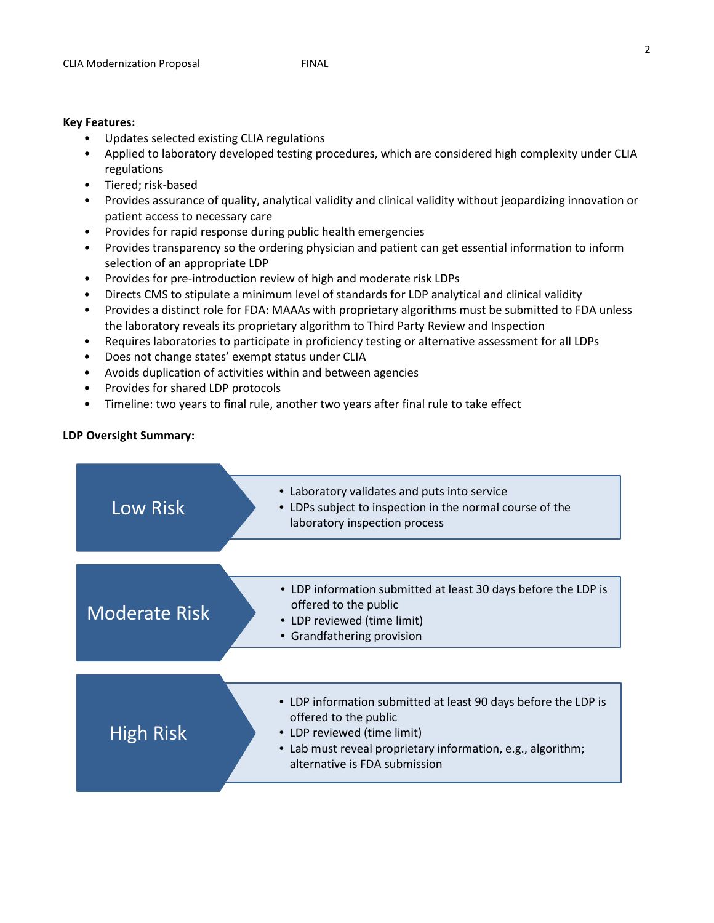#### **Key Features:**

- Updates selected existing CLIA regulations
- Applied to laboratory developed testing procedures, which are considered high complexity under CLIA regulations
- Tiered; risk-based
- Provides assurance of quality, analytical validity and clinical validity without jeopardizing innovation or patient access to necessary care
- Provides for rapid response during public health emergencies
- Provides transparency so the ordering physician and patient can get essential information to inform selection of an appropriate LDP
- Provides for pre-introduction review of high and moderate risk LDPs
- Directs CMS to stipulate a minimum level of standards for LDP analytical and clinical validity
- Provides a distinct role for FDA: MAAAs with proprietary algorithms must be submitted to FDA unless the laboratory reveals its proprietary algorithm to Third Party Review and Inspection
- Requires laboratories to participate in proficiency testing or alternative assessment for all LDPs
- Does not change states' exempt status under CLIA
- Avoids duplication of activities within and between agencies
- Provides for shared LDP protocols
- Timeline: two years to final rule, another two years after final rule to take effect

## **LDP Oversight Summary:**

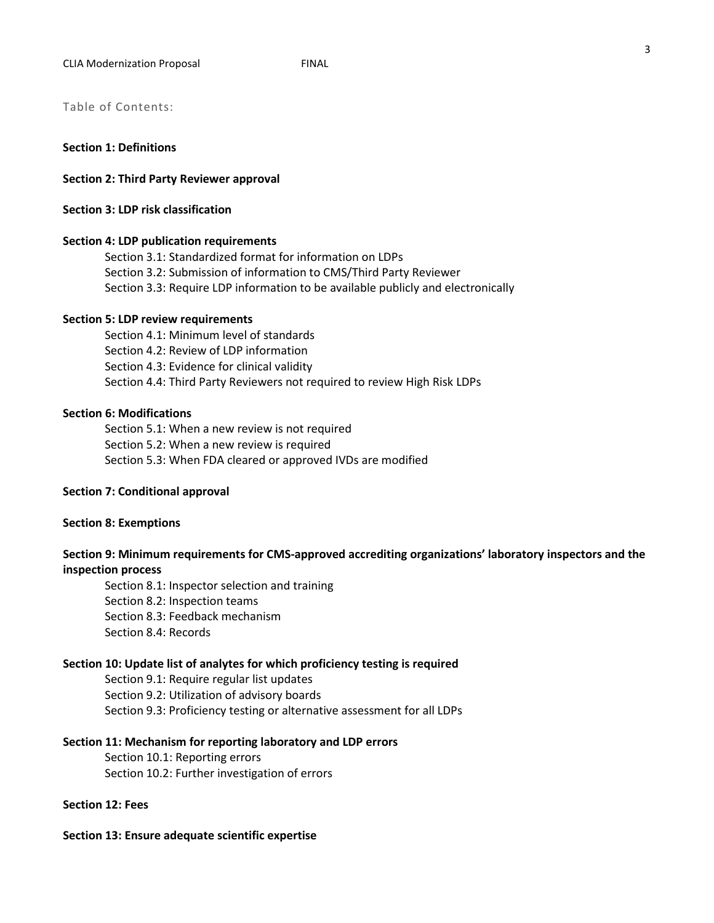Table of Contents:

#### **Section 1: Definitions**

**Section 2: Third Party Reviewer approval**

#### **Section 3: LDP risk classification**

#### **Section 4: LDP publication requirements**

Section 3.1: Standardized format for information on LDPs Section 3.2: Submission of information to CMS/Third Party Reviewer Section 3.3: Require LDP information to be available publicly and electronically

#### **Section 5: LDP review requirements**

Section 4.1: Minimum level of standards Section 4.2: Review of LDP information Section 4.3: Evidence for clinical validity Section 4.4: Third Party Reviewers not required to review High Risk LDPs

#### **Section 6: Modifications**

Section 5.1: When a new review is not required Section 5.2: When a new review is required Section 5.3: When FDA cleared or approved IVDs are modified

#### **Section 7: Conditional approval**

#### **Section 8: Exemptions**

# **Section 9: Minimum requirements for CMS-approved accrediting organizations' laboratory inspectors and the inspection process**

Section 8.1: Inspector selection and training Section 8.2: Inspection teams Section 8.3: Feedback mechanism Section 8.4: Records

#### **Section 10: Update list of analytes for which proficiency testing is required**

Section 9.1: Require regular list updates Section 9.2: Utilization of advisory boards Section 9.3: Proficiency testing or alternative assessment for all LDPs

#### **Section 11: Mechanism for reporting laboratory and LDP errors**

Section 10.1: Reporting errors Section 10.2: Further investigation of errors

## **Section 12: Fees**

#### **Section 13: Ensure adequate scientific expertise**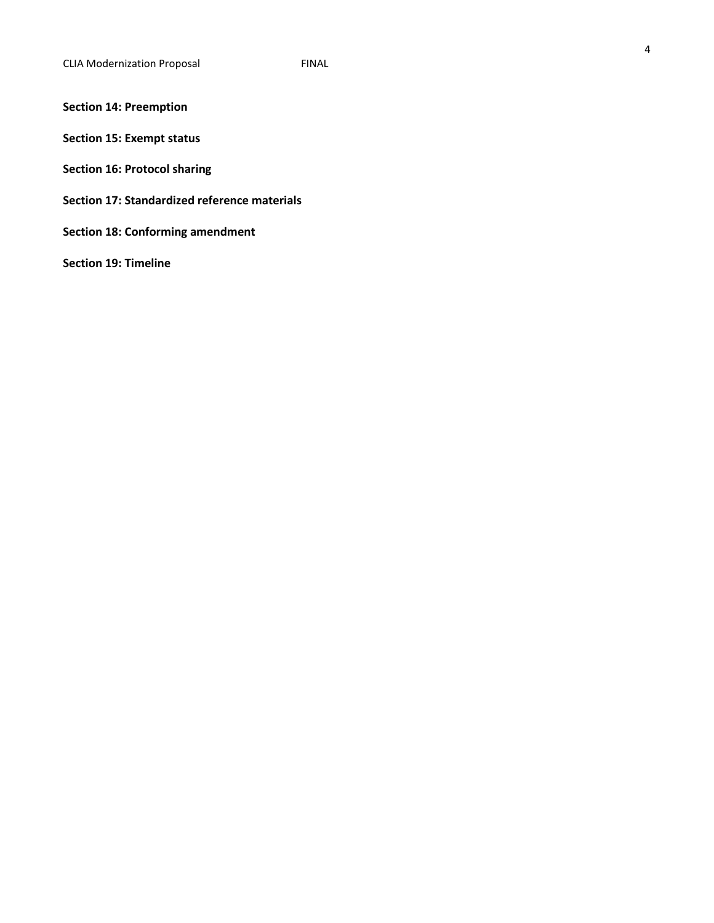# **Section 14: Preemption**

- **Section 15: Exempt status**
- **Section 16: Protocol sharing**
- **Section 17: Standardized reference materials**
- **Section 18: Conforming amendment**

**Section 19: Timeline**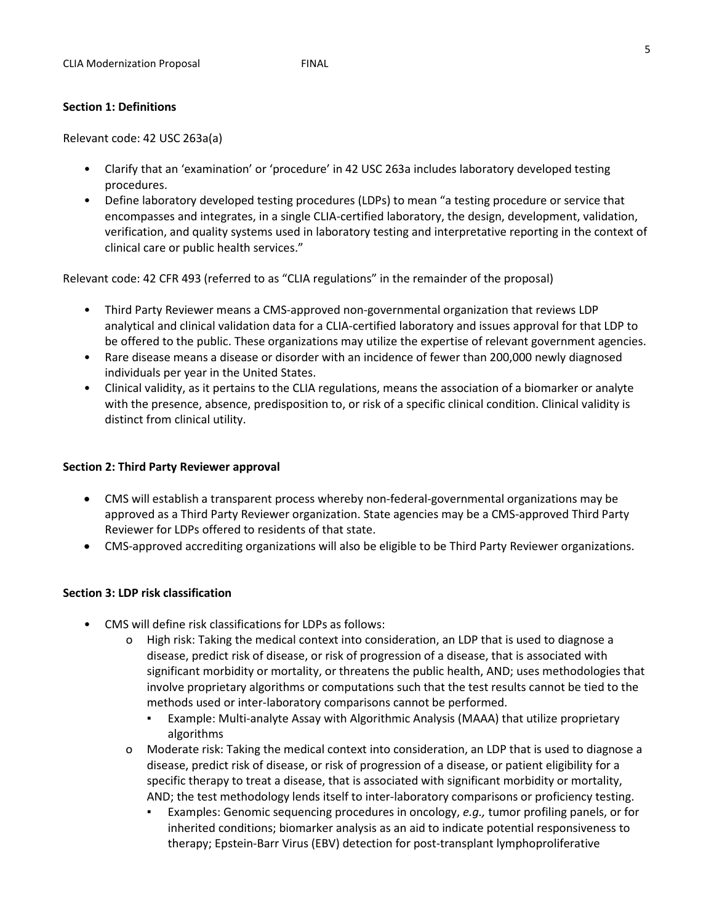## **Section 1: Definitions**

Relevant code: 42 USC 263a(a)

- Clarify that an 'examination' or 'procedure' in 42 USC 263a includes laboratory developed testing procedures.
- Define laboratory developed testing procedures (LDPs) to mean "a testing procedure or service that encompasses and integrates, in a single CLIA-certified laboratory, the design, development, validation, verification, and quality systems used in laboratory testing and interpretative reporting in the context of clinical care or public health services."

Relevant code: 42 CFR 493 (referred to as "CLIA regulations" in the remainder of the proposal)

- Third Party Reviewer means a CMS-approved non-governmental organization that reviews LDP analytical and clinical validation data for a CLIA-certified laboratory and issues approval for that LDP to be offered to the public. These organizations may utilize the expertise of relevant government agencies.
- Rare disease means a disease or disorder with an incidence of fewer than 200,000 newly diagnosed individuals per year in the United States.
- Clinical validity, as it pertains to the CLIA regulations, means the association of a biomarker or analyte with the presence, absence, predisposition to, or risk of a specific clinical condition. Clinical validity is distinct from clinical utility.

### **Section 2: Third Party Reviewer approval**

- CMS will establish a transparent process whereby non-federal-governmental organizations may be approved as a Third Party Reviewer organization. State agencies may be a CMS-approved Third Party Reviewer for LDPs offered to residents of that state.
- CMS-approved accrediting organizations will also be eligible to be Third Party Reviewer organizations.

# **Section 3: LDP risk classification**

- CMS will define risk classifications for LDPs as follows:
	- o High risk: Taking the medical context into consideration, an LDP that is used to diagnose a disease, predict risk of disease, or risk of progression of a disease, that is associated with significant morbidity or mortality, or threatens the public health, AND; uses methodologies that involve proprietary algorithms or computations such that the test results cannot be tied to the methods used or inter-laboratory comparisons cannot be performed.
		- Example: Multi-analyte Assay with Algorithmic Analysis (MAAA) that utilize proprietary algorithms
	- o Moderate risk: Taking the medical context into consideration, an LDP that is used to diagnose a disease, predict risk of disease, or risk of progression of a disease, or patient eligibility for a specific therapy to treat a disease, that is associated with significant morbidity or mortality, AND; the test methodology lends itself to inter-laboratory comparisons or proficiency testing.
		- Examples: Genomic sequencing procedures in oncology, *e.g.*, tumor profiling panels, or for inherited conditions; biomarker analysis as an aid to indicate potential responsiveness to therapy; Epstein-Barr Virus (EBV) detection for post-transplant lymphoproliferative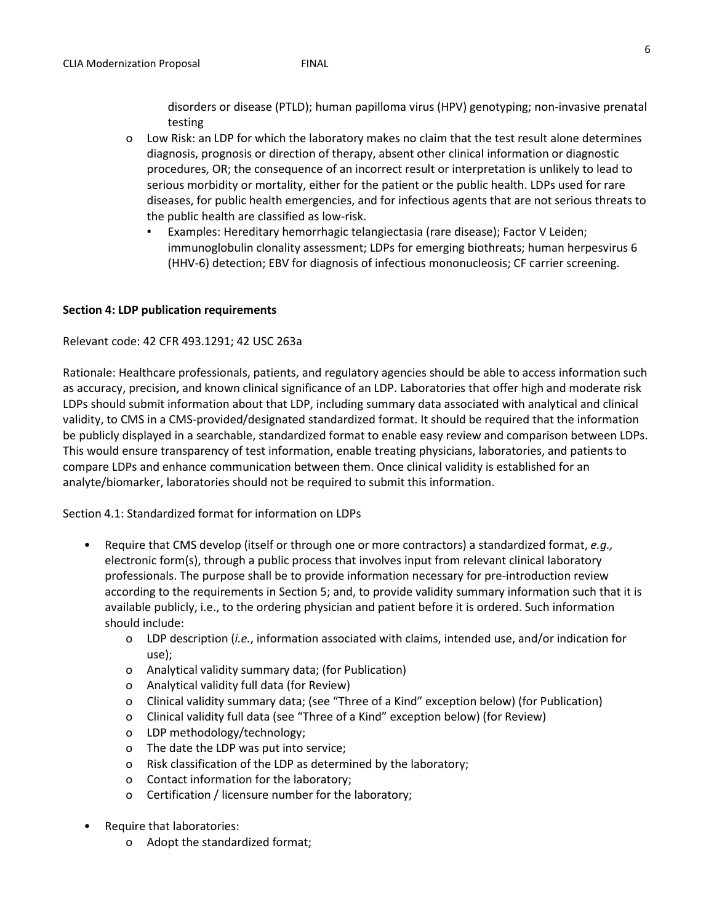disorders or disease (PTLD); human papilloma virus (HPV) genotyping; non-invasive prenatal testing

- o Low Risk: an LDP for which the laboratory makes no claim that the test result alone determines diagnosis, prognosis or direction of therapy, absent other clinical information or diagnostic procedures, OR; the consequence of an incorrect result or interpretation is unlikely to lead to serious morbidity or mortality, either for the patient or the public health. LDPs used for rare diseases, for public health emergencies, and for infectious agents that are not serious threats to the public health are classified as low-risk.
	- Examples: Hereditary hemorrhagic telangiectasia (rare disease); Factor V Leiden; immunoglobulin clonality assessment; LDPs for emerging biothreats; human herpesvirus 6 (HHV-6) detection; EBV for diagnosis of infectious mononucleosis; CF carrier screening.

## **Section 4: LDP publication requirements**

### Relevant code: 42 CFR 493.1291; 42 USC 263a

Rationale: Healthcare professionals, patients, and regulatory agencies should be able to access information such as accuracy, precision, and known clinical significance of an LDP. Laboratories that offer high and moderate risk LDPs should submit information about that LDP, including summary data associated with analytical and clinical validity, to CMS in a CMS-provided/designated standardized format. It should be required that the information be publicly displayed in a searchable, standardized format to enable easy review and comparison between LDPs. This would ensure transparency of test information, enable treating physicians, laboratories, and patients to compare LDPs and enhance communication between them. Once clinical validity is established for an analyte/biomarker, laboratories should not be required to submit this information.

Section 4.1: Standardized format for information on LDPs

- Require that CMS develop (itself or through one or more contractors) a standardized format, *e.g.,* electronic form(s), through a public process that involves input from relevant clinical laboratory professionals. The purpose shall be to provide information necessary for pre-introduction review according to the requirements in Section 5; and, to provide validity summary information such that it is available publicly, i.e., to the ordering physician and patient before it is ordered. Such information should include:
	- o LDP description (*i.e.*, information associated with claims, intended use, and/or indication for use);
	- o Analytical validity summary data; (for Publication)
	- o Analytical validity full data (for Review)
	- o Clinical validity summary data; (see "Three of a Kind" exception below) (for Publication)
	- o Clinical validity full data (see "Three of a Kind" exception below) (for Review)
	- o LDP methodology/technology;
	- o The date the LDP was put into service;
	- o Risk classification of the LDP as determined by the laboratory;
	- o Contact information for the laboratory;
	- o Certification / licensure number for the laboratory;
- Require that laboratories:
	- o Adopt the standardized format;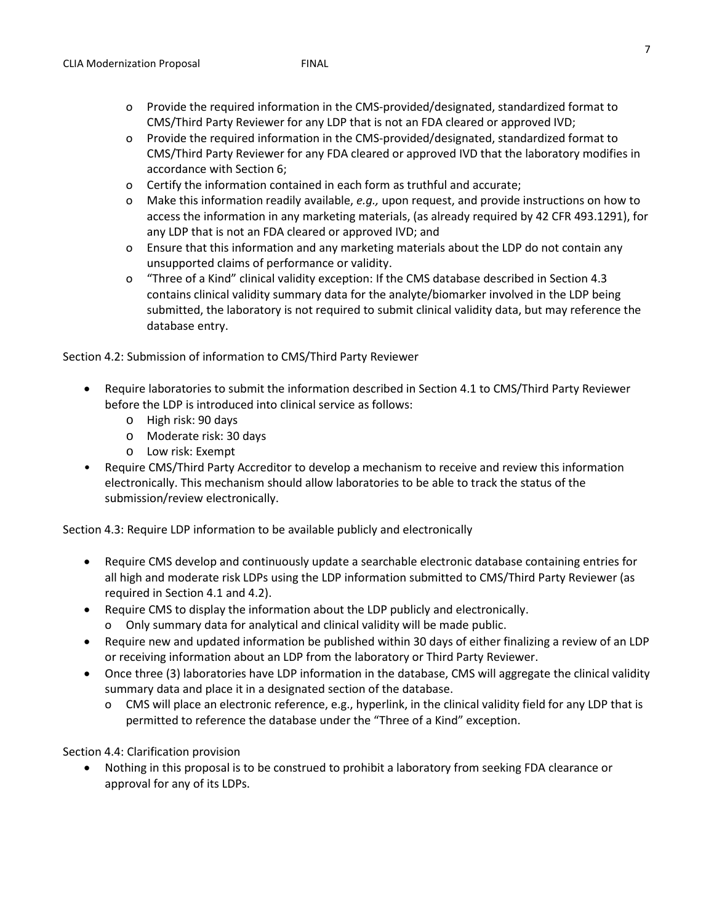- o Provide the required information in the CMS-provided/designated, standardized format to CMS/Third Party Reviewer for any LDP that is not an FDA cleared or approved IVD;
- o Provide the required information in the CMS-provided/designated, standardized format to CMS/Third Party Reviewer for any FDA cleared or approved IVD that the laboratory modifies in accordance with Section 6;
- o Certify the information contained in each form as truthful and accurate;
- o Make this information readily available, *e.g.,* upon request, and provide instructions on how to access the information in any marketing materials, (as already required by 42 CFR 493.1291), for any LDP that is not an FDA cleared or approved IVD; and
- o Ensure that this information and any marketing materials about the LDP do not contain any unsupported claims of performance or validity.
- o "Three of a Kind" clinical validity exception: If the CMS database described in Section 4.3 contains clinical validity summary data for the analyte/biomarker involved in the LDP being submitted, the laboratory is not required to submit clinical validity data, but may reference the database entry.

Section 4.2: Submission of information to CMS/Third Party Reviewer

- Require laboratories to submit the information described in Section 4.1 to CMS/Third Party Reviewer before the LDP is introduced into clinical service as follows:
	- o High risk: 90 days
	- o Moderate risk: 30 days
	- o Low risk: Exempt
- Require CMS/Third Party Accreditor to develop a mechanism to receive and review this information electronically. This mechanism should allow laboratories to be able to track the status of the submission/review electronically.

Section 4.3: Require LDP information to be available publicly and electronically

- Require CMS develop and continuously update a searchable electronic database containing entries for all high and moderate risk LDPs using the LDP information submitted to CMS/Third Party Reviewer (as required in Section 4.1 and 4.2).
- Require CMS to display the information about the LDP publicly and electronically.
	- o Only summary data for analytical and clinical validity will be made public.
- Require new and updated information be published within 30 days of either finalizing a review of an LDP or receiving information about an LDP from the laboratory or Third Party Reviewer.
- Once three (3) laboratories have LDP information in the database, CMS will aggregate the clinical validity summary data and place it in a designated section of the database.
	- o CMS will place an electronic reference, e.g., hyperlink, in the clinical validity field for any LDP that is permitted to reference the database under the "Three of a Kind" exception.

Section 4.4: Clarification provision

• Nothing in this proposal is to be construed to prohibit a laboratory from seeking FDA clearance or approval for any of its LDPs.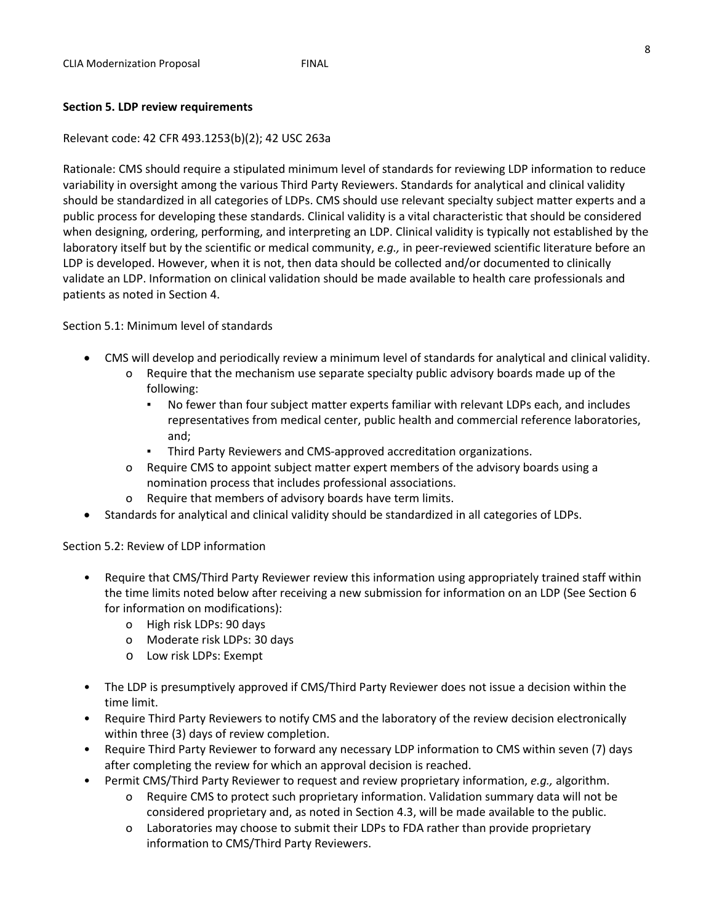### **Section 5. LDP review requirements**

#### Relevant code: 42 CFR 493.1253(b)(2); 42 USC 263a

Rationale: CMS should require a stipulated minimum level of standards for reviewing LDP information to reduce variability in oversight among the various Third Party Reviewers. Standards for analytical and clinical validity should be standardized in all categories of LDPs. CMS should use relevant specialty subject matter experts and a public process for developing these standards. Clinical validity is a vital characteristic that should be considered when designing, ordering, performing, and interpreting an LDP. Clinical validity is typically not established by the laboratory itself but by the scientific or medical community, *e.g.,* in peer-reviewed scientific literature before an LDP is developed. However, when it is not, then data should be collected and/or documented to clinically validate an LDP. Information on clinical validation should be made available to health care professionals and patients as noted in Section 4.

Section 5.1: Minimum level of standards

- CMS will develop and periodically review a minimum level of standards for analytical and clinical validity.
	- o Require that the mechanism use separate specialty public advisory boards made up of the following:
		- No fewer than four subject matter experts familiar with relevant LDPs each, and includes representatives from medical center, public health and commercial reference laboratories, and;
		- Third Party Reviewers and CMS-approved accreditation organizations.
	- o Require CMS to appoint subject matter expert members of the advisory boards using a nomination process that includes professional associations.
	- o Require that members of advisory boards have term limits.
- Standards for analytical and clinical validity should be standardized in all categories of LDPs.

Section 5.2: Review of LDP information

- Require that CMS/Third Party Reviewer review this information using appropriately trained staff within the time limits noted below after receiving a new submission for information on an LDP (See Section 6 for information on modifications):
	- o High risk LDPs: 90 days
	- o Moderate risk LDPs: 30 days
	- o Low risk LDPs: Exempt
- The LDP is presumptively approved if CMS/Third Party Reviewer does not issue a decision within the time limit.
- Require Third Party Reviewers to notify CMS and the laboratory of the review decision electronically within three (3) days of review completion.
- Require Third Party Reviewer to forward any necessary LDP information to CMS within seven (7) days after completing the review for which an approval decision is reached.
- Permit CMS/Third Party Reviewer to request and review proprietary information, *e.g.,* algorithm.
	- o Require CMS to protect such proprietary information. Validation summary data will not be considered proprietary and, as noted in Section 4.3, will be made available to the public.
	- o Laboratories may choose to submit their LDPs to FDA rather than provide proprietary information to CMS/Third Party Reviewers.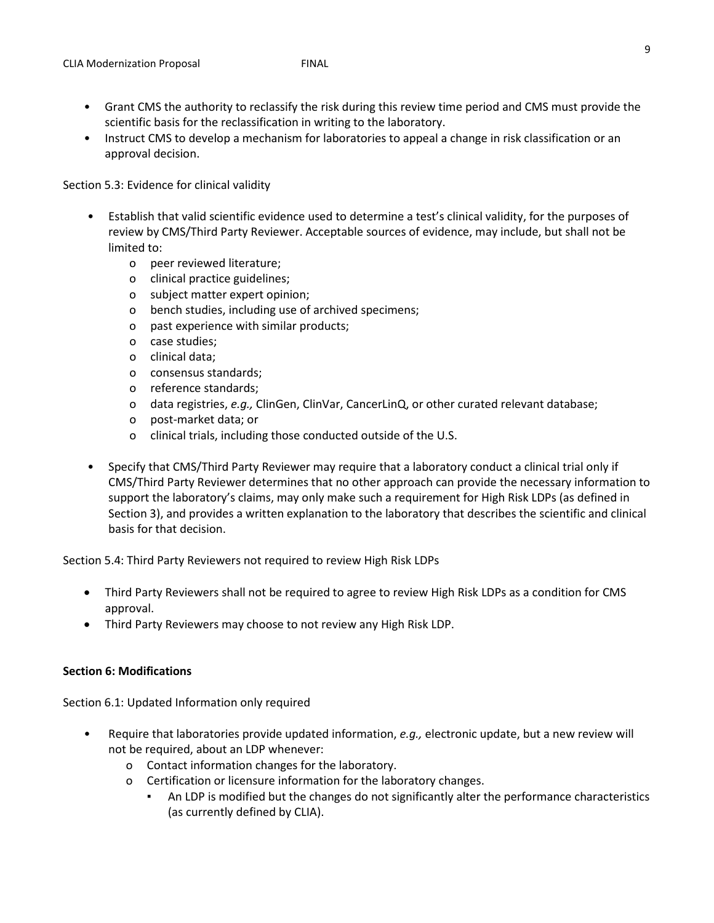- Grant CMS the authority to reclassify the risk during this review time period and CMS must provide the scientific basis for the reclassification in writing to the laboratory.
- Instruct CMS to develop a mechanism for laboratories to appeal a change in risk classification or an approval decision.

Section 5.3: Evidence for clinical validity

- Establish that valid scientific evidence used to determine a test's clinical validity, for the purposes of review by CMS/Third Party Reviewer. Acceptable sources of evidence, may include, but shall not be limited to:
	- o peer reviewed literature;
	- o clinical practice guidelines;
	- o subject matter expert opinion;
	- o bench studies, including use of archived specimens;
	- o past experience with similar products;
	- o case studies;
	- o clinical data;
	- o consensus standards;
	- o reference standards;
	- o data registries, *e.g.,* ClinGen, ClinVar, CancerLinQ, or other curated relevant database;
	- o post-market data; or
	- o clinical trials, including those conducted outside of the U.S.
- Specify that CMS/Third Party Reviewer may require that a laboratory conduct a clinical trial only if CMS/Third Party Reviewer determines that no other approach can provide the necessary information to support the laboratory's claims, may only make such a requirement for High Risk LDPs (as defined in Section 3), and provides a written explanation to the laboratory that describes the scientific and clinical basis for that decision.

Section 5.4: Third Party Reviewers not required to review High Risk LDPs

- Third Party Reviewers shall not be required to agree to review High Risk LDPs as a condition for CMS approval.
- Third Party Reviewers may choose to not review any High Risk LDP.

### **Section 6: Modifications**

Section 6.1: Updated Information only required

- Require that laboratories provide updated information, *e.g.,* electronic update, but a new review will not be required, about an LDP whenever:
	- o Contact information changes for the laboratory.
	- o Certification or licensure information for the laboratory changes.
		- An LDP is modified but the changes do not significantly alter the performance characteristics (as currently defined by CLIA).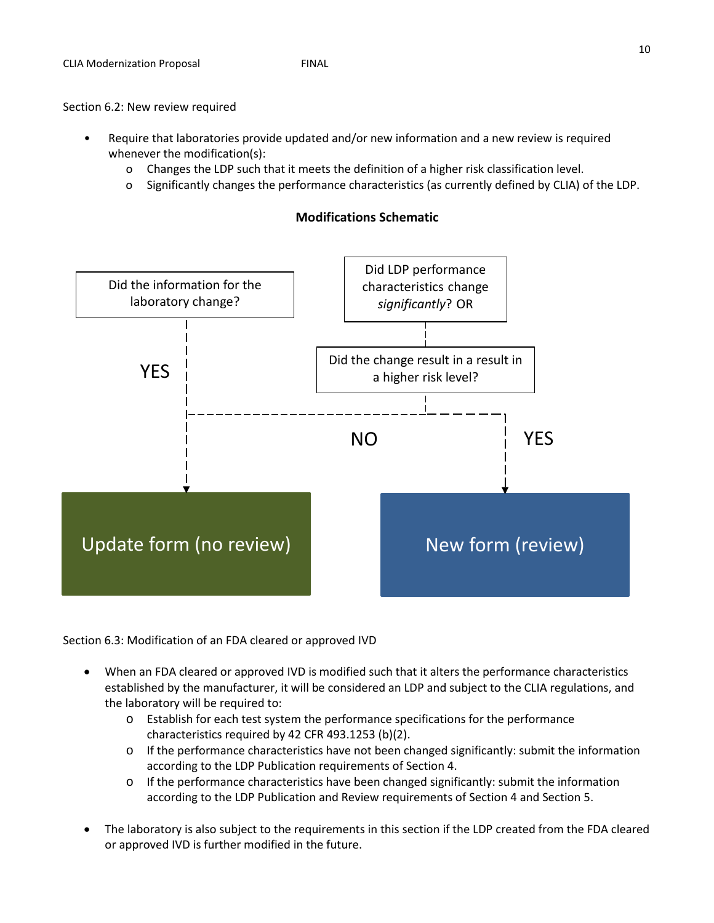## Section 6.2: New review required

- Require that laboratories provide updated and/or new information and a new review is required whenever the modification(s):
	- o Changes the LDP such that it meets the definition of a higher risk classification level.
	- o Significantly changes the performance characteristics (as currently defined by CLIA) of the LDP.



# **Modifications Schematic**

Section 6.3: Modification of an FDA cleared or approved IVD

- When an FDA cleared or approved IVD is modified such that it alters the performance characteristics established by the manufacturer, it will be considered an LDP and subject to the CLIA regulations, and the laboratory will be required to:
	- $\circ$  Establish for each test system the performance specifications for the performance characteristics required by 42 CFR 493.1253 (b)(2).
	- o If the performance characteristics have not been changed significantly: submit the information according to the LDP Publication requirements of Section 4.
	- o If the performance characteristics have been changed significantly: submit the information according to the LDP Publication and Review requirements of Section 4 and Section 5.
- The laboratory is also subject to the requirements in this section if the LDP created from the FDA cleared or approved IVD is further modified in the future.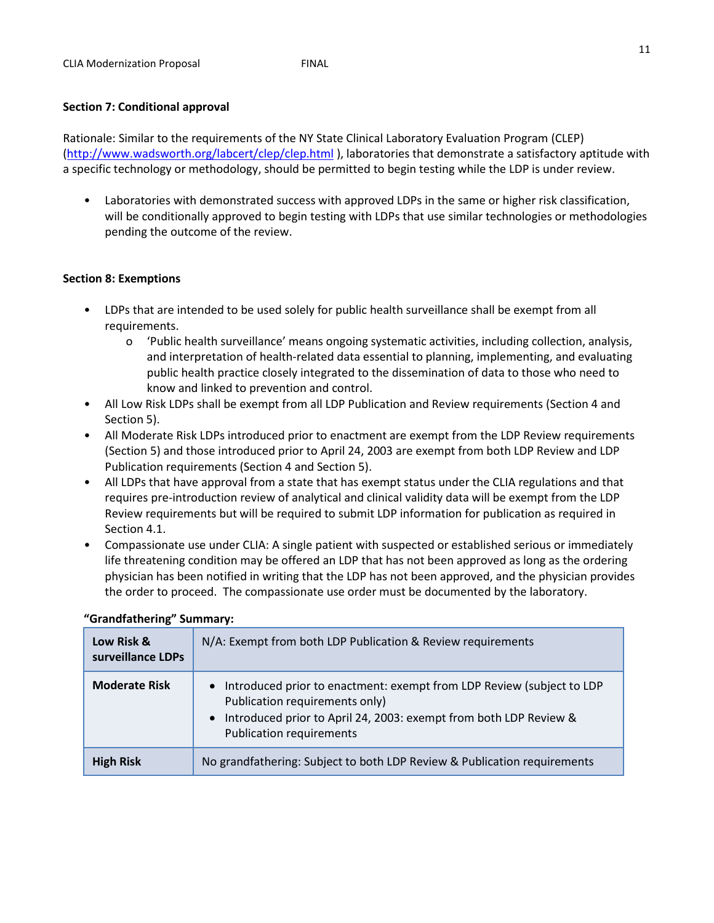## **Section 7: Conditional approval**

Rationale: Similar to the requirements of the NY State Clinical Laboratory Evaluation Program (CLEP) [\(http://www.wadsworth.org/labcert/clep/clep.html](http://www.wadsworth.org/labcert/clep/clep.html) ), laboratories that demonstrate a satisfactory aptitude with a specific technology or methodology, should be permitted to begin testing while the LDP is under review.

• Laboratories with demonstrated success with approved LDPs in the same or higher risk classification, will be conditionally approved to begin testing with LDPs that use similar technologies or methodologies pending the outcome of the review.

## **Section 8: Exemptions**

- LDPs that are intended to be used solely for public health surveillance shall be exempt from all requirements.
	- o 'Public health surveillance' means ongoing systematic activities, including collection, analysis, and interpretation of health-related data essential to planning, implementing, and evaluating public health practice closely integrated to the dissemination of data to those who need to know and linked to prevention and control.
- All Low Risk LDPs shall be exempt from all LDP Publication and Review requirements (Section 4 and Section 5).
- All Moderate Risk LDPs introduced prior to enactment are exempt from the LDP Review requirements (Section 5) and those introduced prior to April 24, 2003 are exempt from both LDP Review and LDP Publication requirements (Section 4 and Section 5).
- All LDPs that have approval from a state that has exempt status under the CLIA regulations and that requires pre-introduction review of analytical and clinical validity data will be exempt from the LDP Review requirements but will be required to submit LDP information for publication as required in Section 4.1.
- Compassionate use under CLIA: A single patient with suspected or established serious or immediately life threatening condition may be offered an LDP that has not been approved as long as the ordering physician has been notified in writing that the LDP has not been approved, and the physician provides the order to proceed. The compassionate use order must be documented by the laboratory.

| Low Risk &<br>surveillance LDPs | N/A: Exempt from both LDP Publication & Review requirements                                                                                                                                                                    |
|---------------------------------|--------------------------------------------------------------------------------------------------------------------------------------------------------------------------------------------------------------------------------|
| <b>Moderate Risk</b>            | • Introduced prior to enactment: exempt from LDP Review (subject to LDP<br>Publication requirements only)<br>Introduced prior to April 24, 2003: exempt from both LDP Review &<br>$\bullet$<br><b>Publication requirements</b> |
| <b>High Risk</b>                | No grandfathering: Subject to both LDP Review & Publication requirements                                                                                                                                                       |

## **"Grandfathering" Summary:**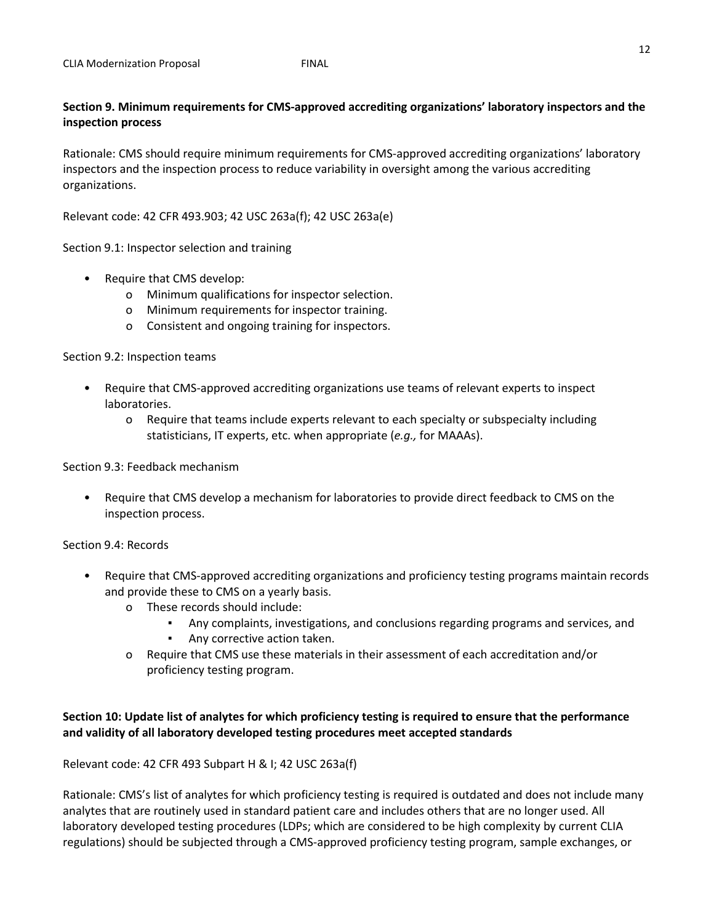# **Section 9. Minimum requirements for CMS-approved accrediting organizations' laboratory inspectors and the inspection process**

Rationale: CMS should require minimum requirements for CMS-approved accrediting organizations' laboratory inspectors and the inspection process to reduce variability in oversight among the various accrediting organizations.

Relevant code: 42 CFR 493.903; 42 USC 263a(f); 42 USC 263a(e)

Section 9.1: Inspector selection and training

- Require that CMS develop:
	- o Minimum qualifications for inspector selection.
	- o Minimum requirements for inspector training.
	- o Consistent and ongoing training for inspectors.

Section 9.2: Inspection teams

- Require that CMS-approved accrediting organizations use teams of relevant experts to inspect laboratories.
	- o Require that teams include experts relevant to each specialty or subspecialty including statisticians, IT experts, etc. when appropriate (*e.g.,* for MAAAs).

Section 9.3: Feedback mechanism

• Require that CMS develop a mechanism for laboratories to provide direct feedback to CMS on the inspection process.

Section 9.4: Records

- Require that CMS-approved accrediting organizations and proficiency testing programs maintain records and provide these to CMS on a yearly basis.
	- o These records should include:
		- Any complaints, investigations, and conclusions regarding programs and services, and
		- Any corrective action taken.
	- o Require that CMS use these materials in their assessment of each accreditation and/or proficiency testing program.

## **Section 10: Update list of analytes for which proficiency testing is required to ensure that the performance and validity of all laboratory developed testing procedures meet accepted standards**

Relevant code: 42 CFR 493 Subpart H & I; 42 USC 263a(f)

Rationale: CMS's list of analytes for which proficiency testing is required is outdated and does not include many analytes that are routinely used in standard patient care and includes others that are no longer used. All laboratory developed testing procedures (LDPs; which are considered to be high complexity by current CLIA regulations) should be subjected through a CMS-approved proficiency testing program, sample exchanges, or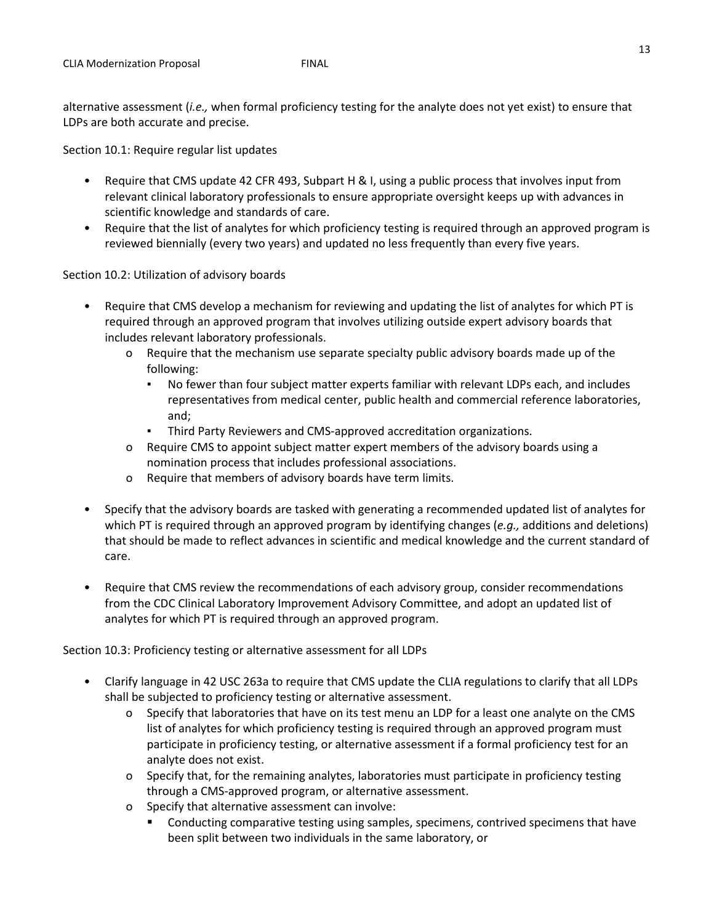alternative assessment (*i.e.,* when formal proficiency testing for the analyte does not yet exist) to ensure that LDPs are both accurate and precise.

Section 10.1: Require regular list updates

- Require that CMS update 42 CFR 493, Subpart H & I, using a public process that involves input from relevant clinical laboratory professionals to ensure appropriate oversight keeps up with advances in scientific knowledge and standards of care.
- Require that the list of analytes for which proficiency testing is required through an approved program is reviewed biennially (every two years) and updated no less frequently than every five years.

Section 10.2: Utilization of advisory boards

- Require that CMS develop a mechanism for reviewing and updating the list of analytes for which PT is required through an approved program that involves utilizing outside expert advisory boards that includes relevant laboratory professionals.
	- o Require that the mechanism use separate specialty public advisory boards made up of the following:
		- No fewer than four subject matter experts familiar with relevant LDPs each, and includes representatives from medical center, public health and commercial reference laboratories, and;
		- Third Party Reviewers and CMS-approved accreditation organizations.
	- o Require CMS to appoint subject matter expert members of the advisory boards using a nomination process that includes professional associations.
	- o Require that members of advisory boards have term limits.
- Specify that the advisory boards are tasked with generating a recommended updated list of analytes for which PT is required through an approved program by identifying changes (*e.g.,* additions and deletions) that should be made to reflect advances in scientific and medical knowledge and the current standard of care.
- Require that CMS review the recommendations of each advisory group, consider recommendations from the CDC Clinical Laboratory Improvement Advisory Committee, and adopt an updated list of analytes for which PT is required through an approved program.

Section 10.3: Proficiency testing or alternative assessment for all LDPs

- Clarify language in 42 USC 263a to require that CMS update the CLIA regulations to clarify that all LDPs shall be subjected to proficiency testing or alternative assessment.
	- o Specify that laboratories that have on its test menu an LDP for a least one analyte on the CMS list of analytes for which proficiency testing is required through an approved program must participate in proficiency testing, or alternative assessment if a formal proficiency test for an analyte does not exist.
	- o Specify that, for the remaining analytes, laboratories must participate in proficiency testing through a CMS-approved program, or alternative assessment.
	- o Specify that alternative assessment can involve:
		- Conducting comparative testing using samples, specimens, contrived specimens that have been split between two individuals in the same laboratory, or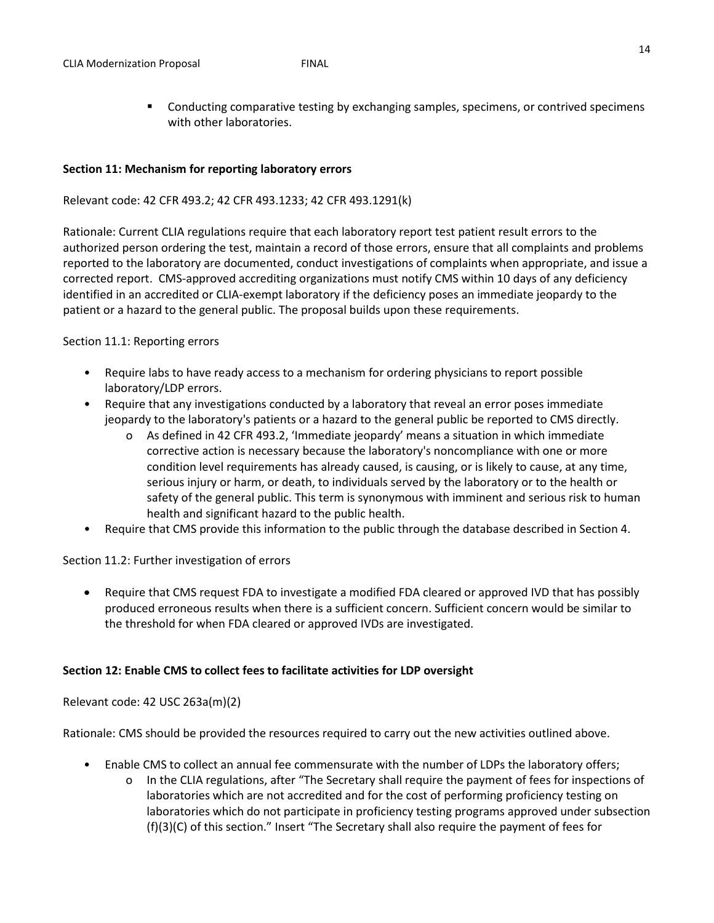**Conducting comparative testing by exchanging samples, specimens, or contrived specimens** with other laboratories.

## **Section 11: Mechanism for reporting laboratory errors**

## Relevant code: 42 CFR 493.2; 42 CFR 493.1233; 42 CFR 493.1291(k)

Rationale: Current CLIA regulations require that each laboratory report test patient result errors to the authorized person ordering the test, maintain a record of those errors, ensure that all complaints and problems reported to the laboratory are documented, conduct investigations of complaints when appropriate, and issue a corrected report. CMS-approved accrediting organizations must notify CMS within 10 days of any deficiency identified in an accredited or CLIA-exempt laboratory if the deficiency poses an immediate jeopardy to the patient or a hazard to the general public. The proposal builds upon these requirements.

## Section 11.1: Reporting errors

- Require labs to have ready access to a mechanism for ordering physicians to report possible laboratory/LDP errors.
- Require that any investigations conducted by a laboratory that reveal an error poses immediate jeopardy to the laboratory's patients or a hazard to the general public be reported to CMS directly.
	- o As defined in 42 CFR 493.2, 'Immediate jeopardy' means a situation in which immediate corrective action is necessary because the laboratory's noncompliance with one or more condition level requirements has already caused, is causing, or is likely to cause, at any time, serious injury or harm, or death, to individuals served by the laboratory or to the health or safety of the general public. This term is synonymous with imminent and serious risk to human health and significant hazard to the public health.
- Require that CMS provide this information to the public through the database described in Section 4.

Section 11.2: Further investigation of errors

• Require that CMS request FDA to investigate a modified FDA cleared or approved IVD that has possibly produced erroneous results when there is a sufficient concern. Sufficient concern would be similar to the threshold for when FDA cleared or approved IVDs are investigated.

## **Section 12: Enable CMS to collect fees to facilitate activities for LDP oversight**

## Relevant code: 42 USC 263a(m)(2)

Rationale: CMS should be provided the resources required to carry out the new activities outlined above.

- Enable CMS to collect an annual fee commensurate with the number of LDPs the laboratory offers;
	- o In the CLIA regulations, after "The Secretary shall require the payment of fees for inspections of laboratories which are not accredited and for the cost of performing proficiency testing on laboratories which do not participate in proficiency testing programs approved under subsection (f)(3)(C) of this section." Insert "The Secretary shall also require the payment of fees for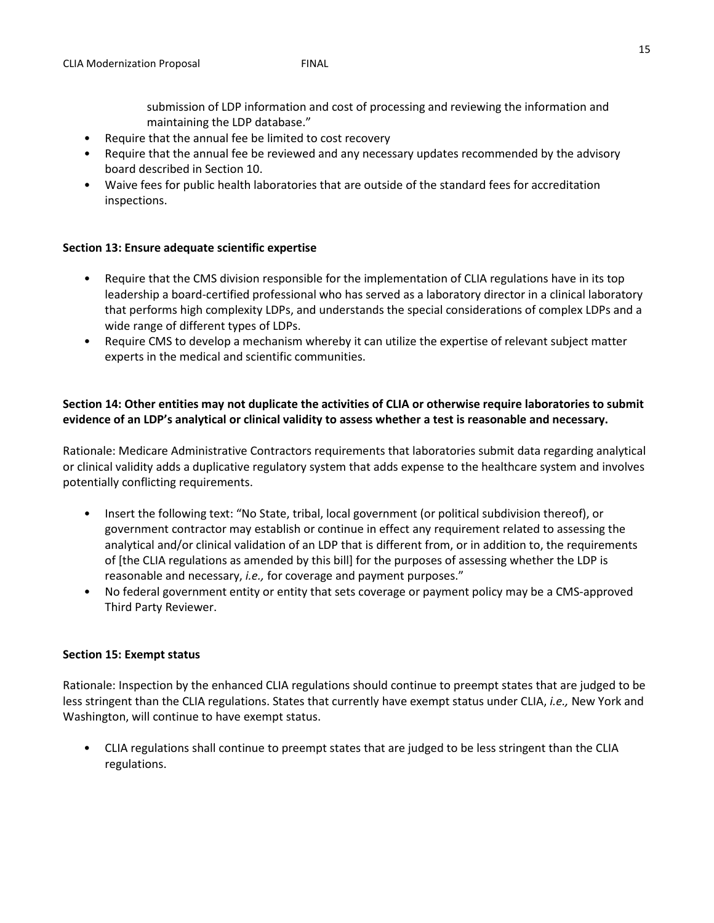submission of LDP information and cost of processing and reviewing the information and maintaining the LDP database."

- Require that the annual fee be limited to cost recovery
- Require that the annual fee be reviewed and any necessary updates recommended by the advisory board described in Section 10.
- Waive fees for public health laboratories that are outside of the standard fees for accreditation inspections.

## **Section 13: Ensure adequate scientific expertise**

- Require that the CMS division responsible for the implementation of CLIA regulations have in its top leadership a board-certified professional who has served as a laboratory director in a clinical laboratory that performs high complexity LDPs, and understands the special considerations of complex LDPs and a wide range of different types of LDPs.
- Require CMS to develop a mechanism whereby it can utilize the expertise of relevant subject matter experts in the medical and scientific communities.

## **Section 14: Other entities may not duplicate the activities of CLIA or otherwise require laboratories to submit evidence of an LDP's analytical or clinical validity to assess whether a test is reasonable and necessary.**

Rationale: Medicare Administrative Contractors requirements that laboratories submit data regarding analytical or clinical validity adds a duplicative regulatory system that adds expense to the healthcare system and involves potentially conflicting requirements.

- Insert the following text: "No State, tribal, local government (or political subdivision thereof), or government contractor may establish or continue in effect any requirement related to assessing the analytical and/or clinical validation of an LDP that is different from, or in addition to, the requirements of [the CLIA regulations as amended by this bill] for the purposes of assessing whether the LDP is reasonable and necessary, *i.e.,* for coverage and payment purposes."
- No federal government entity or entity that sets coverage or payment policy may be a CMS-approved Third Party Reviewer.

### **Section 15: Exempt status**

Rationale: Inspection by the enhanced CLIA regulations should continue to preempt states that are judged to be less stringent than the CLIA regulations. States that currently have exempt status under CLIA, *i.e.,* New York and Washington, will continue to have exempt status.

• CLIA regulations shall continue to preempt states that are judged to be less stringent than the CLIA regulations.